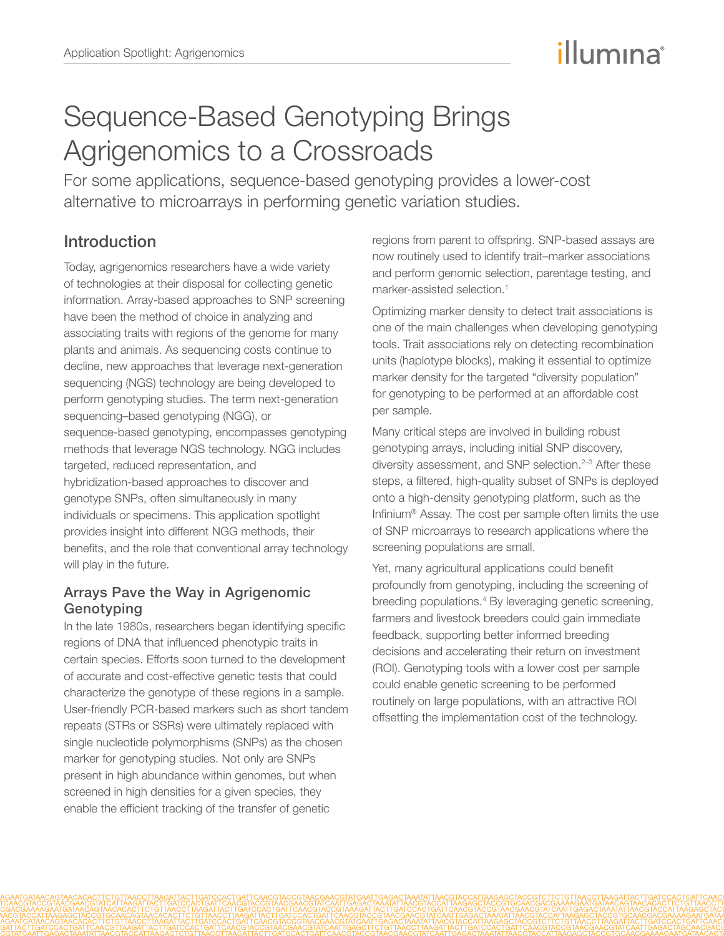# illumına

# Sequence-Based Genotyping Brings Agrigenomics to a Crossroads

For some applications, sequence-based genotyping provides a lower-cost alternative to microarrays in performing genetic variation studies.

# Introduction

Today, agrigenomics researchers have a wide variety of technologies at their disposal for collecting genetic information. Array-based approaches to SNP screening have been the method of choice in analyzing and associating traits with regions of the genome for many plants and animals. As sequencing costs continue to decline, new approaches that leverage next-generation sequencing (NGS) technology are being developed to perform genotyping studies. The term next-generation sequencing–based genotyping (NGG), or sequence-based genotyping, encompasses genotyping methods that leverage NGS technology. NGG includes targeted, reduced representation, and hybridization-based approaches to discover and genotype SNPs, often simultaneously in many individuals or specimens. This application spotlight provides insight into different NGG methods, their benefits, and the role that conventional array technology will play in the future.

#### Arrays Pave the Way in Agrigenomic Genotyping

In the late 1980s, researchers began identifying specific regions of DNA that influenced phenotypic traits in certain species. Efforts soon turned to the development of accurate and cost-effective genetic tests that could characterize the genotype of these regions in a sample. User-friendly PCR-based markers such as short tandem repeats (STRs or SSRs) were ultimately replaced with single nucleotide polymorphisms (SNPs) as the chosen marker for genotyping studies. Not only are SNPs present in high abundance within genomes, but when screened in high densities for a given species, they enable the efficient tracking of the transfer of genetic

regions from parent to offspring. SNP-based assays are now routinely used to identify trait–marker associations and perform genomic selection, parentage testing, and marker-assisted selection.<sup>1</sup>

Optimizing marker density to detect trait associations is one of the main challenges when developing genotyping tools. Trait associations rely on detecting recombination units (haplotype blocks), making it essential to optimize marker density for the targeted "diversity population" for genotyping to be performed at an affordable cost per sample.

Many critical steps are involved in building robust genotyping arrays, including initial SNP discovery, diversity assessment, and SNP selection.<sup>[2](#page-7-1)-3</sup> After these steps, a filtered, high-quality subset of SNPs is deployed onto a high-density genotyping platform, such as the Infinium® Assay. The cost per sample often limits the use of SNP microarrays to research applications where the screening populations are small.

Yet, many agricultural applications could benefit profoundly from genotyping, including the screening of breeding populations[.4](#page-7-3) By leveraging genetic screening, farmers and livestock breeders could gain immediate feedback, supporting better informed breeding decisions and accelerating their return on investment (ROI). Genotyping tools with a lower cost per sample could enable genetic screening to be performed routinely on large populations, with an attractive ROI offsetting the implementation cost of the technology.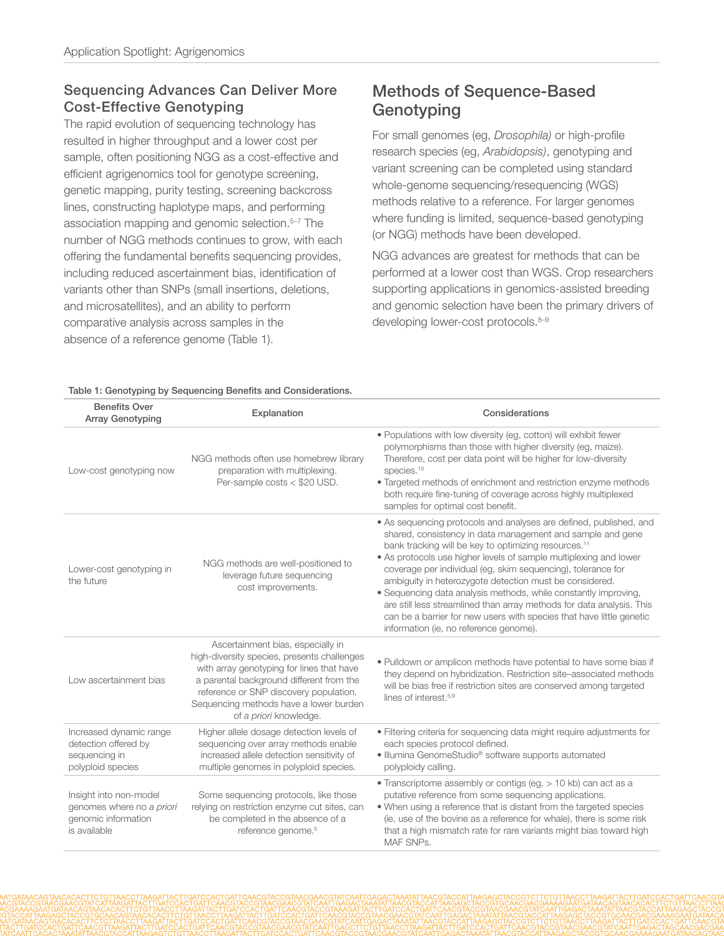#### Sequencing Advances Can Deliver More Cost-Effective Genotyping

The rapid evolution of sequencing technology has resulted in higher throughput and a lower cost per sample, often positioning NGG as a cost-effective and efficient agrigenomics tool for genotype screening, genetic mapping, purity testing, screening backcross lines, constructing haplotype maps, and performing association mapping and genomic selection.<sup>5-7</sup> The number of NGG methods continues to grow, with each offering the fundamental benefits sequencing provides, including reduced ascertainment bias, identification of variants other than SNPs (small insertions, deletions, and microsatellites), and an ability to perform comparative analysis across samples in the absence of a reference genome (Table 1).

# Methods of Sequence-Based **Genotyping**

For small genomes (eg, *Drosophila)* or high-profile research species (eg, *Arabidopsis)*, genotyping and variant screening can be completed using standard whole-genome sequencing/resequencing (WGS) methods relative to a reference. For larger genomes where funding is limited, sequence-based genotyping (or NGG) methods have been developed.

NGG advances are greatest for methods that can be performed at a lower cost than WGS. Crop researchers supporting applications in genomics-assisted breeding and genomic selection have been the primary drivers of developing lower-cost protocols.<sup>8-9</sup>

|  |  |  | Table 1: Genotyping by Sequencing Benefits and Considerations. |
|--|--|--|----------------------------------------------------------------|
|--|--|--|----------------------------------------------------------------|

| <b>Benefits Over</b><br><b>Array Genotyping</b>                                            | Explanation                                                                                                                                                                                                                                                                             | Considerations                                                                                                                                                                                                                                                                                                                                                                                                                                                                                                                                                                                                                                                     |
|--------------------------------------------------------------------------------------------|-----------------------------------------------------------------------------------------------------------------------------------------------------------------------------------------------------------------------------------------------------------------------------------------|--------------------------------------------------------------------------------------------------------------------------------------------------------------------------------------------------------------------------------------------------------------------------------------------------------------------------------------------------------------------------------------------------------------------------------------------------------------------------------------------------------------------------------------------------------------------------------------------------------------------------------------------------------------------|
| Low-cost genotyping now                                                                    | NGG methods often use homebrew library<br>preparation with multiplexing.<br>Per-sample costs < \$20 USD.                                                                                                                                                                                | . Populations with low diversity (eg, cotton) will exhibit fewer<br>polymorphisms than those with higher diversity (eg, maize).<br>Therefore, cost per data point will be higher for low-diversity<br>species. <sup>10</sup><br>• Targeted methods of enrichment and restriction enzyme methods<br>both require fine-tuning of coverage across highly multiplexed<br>samples for optimal cost benefit.                                                                                                                                                                                                                                                             |
| Lower-cost genotyping in<br>the future                                                     | NGG methods are well-positioned to<br>leverage future sequencing<br>cost improvements.                                                                                                                                                                                                  | • As sequencing protocols and analyses are defined, published, and<br>shared, consistency in data management and sample and gene<br>bank tracking will be key to optimizing resources. <sup>11</sup><br>• As protocols use higher levels of sample multiplexing and lower<br>coverage per individual (eg, skim sequencing), tolerance for<br>ambiguity in heterozygote detection must be considered.<br>• Sequencing data analysis methods, while constantly improving,<br>are still less streamlined than array methods for data analysis. This<br>can be a barrier for new users with species that have little genetic<br>information (ie, no reference genome). |
| Low ascertainment bias                                                                     | Ascertainment bias, especially in<br>high-diversity species, presents challenges<br>with array genotyping for lines that have<br>a parental background different from the<br>reference or SNP discovery population.<br>Sequencing methods have a lower burden<br>of a priori knowledge. | . Pulldown or amplicon methods have potential to have some bias if<br>they depend on hybridization. Restriction site-associated methods<br>will be bias free if restriction sites are conserved among targeted<br>lines of interest. <sup>5,9</sup>                                                                                                                                                                                                                                                                                                                                                                                                                |
| Increased dynamic range<br>detection offered by<br>sequencing in<br>polyploid species      | Higher allele dosage detection levels of<br>sequencing over array methods enable<br>increased allele detection sensitivity of<br>multiple genomes in polyploid species.                                                                                                                 | • Filtering criteria for sequencing data might require adjustments for<br>each species protocol defined.<br>· Illumina GenomeStudio <sup>®</sup> software supports automated<br>polyploidy calling.                                                                                                                                                                                                                                                                                                                                                                                                                                                                |
| Insight into non-model<br>genomes where no a priori<br>genomic information<br>is available | Some sequencing protocols, like those<br>relying on restriction enzyme cut sites, can<br>be completed in the absence of a<br>reference genome. <sup>5</sup>                                                                                                                             | • Transcriptome assembly or contigs (eg, > 10 kb) can act as a<br>putative reference from some sequencing applications.<br>• When using a reference that is distant from the targeted species<br>(ie, use of the bovine as a reference for whale), there is some risk<br>that a high mismatch rate for rare variants might bias toward high<br>MAF SNPs.                                                                                                                                                                                                                                                                                                           |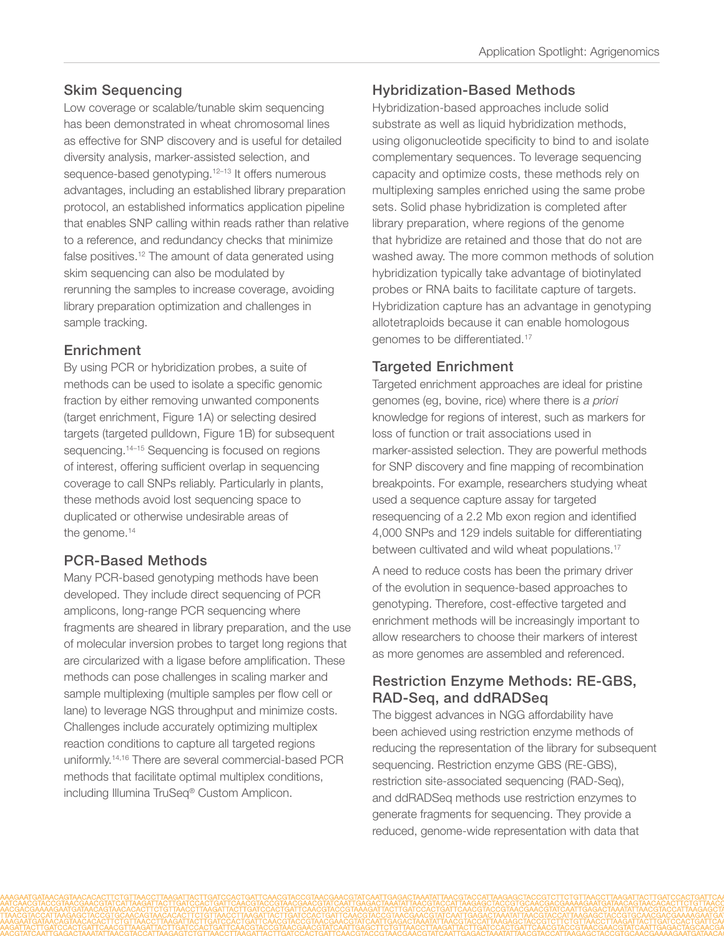## Skim Sequencing

Low coverage or scalable/tunable skim sequencing has been demonstrated in wheat chromosomal lines as effective for SNP discovery and is useful for detailed diversity analysis, marker-assisted selection, and sequence-based genotyping.<sup>[12](#page-7-10)-13</sup> It offers numerous advantages, including an established library preparation protocol, an established informatics application pipeline that enables SNP calling within reads rather than relative to a reference, and redundancy checks that minimize false positives.<sup>[12](#page-7-10)</sup> The amount of data generated using skim sequencing can also be modulated by rerunning the samples to increase coverage, avoiding library preparation optimization and challenges in sample tracking.

#### Enrichment

By using PCR or hybridization probes, a suite of methods can be used to isolate a specific genomic fraction by either removing unwanted components (target enrichment, Figure 1A) or selecting desired targets (targeted pulldown, Figure 1B) for subsequent sequencing.<sup>14–[15](#page-7-13)</sup> Sequencing is focused on regions of interest, offering sufficient overlap in sequencing coverage to call SNPs reliably. Particularly in plants, these methods avoid lost sequencing space to duplicated or otherwise undesirable areas of the genome.<sup>14</sup>

### PCR-Based Methods

Many PCR-based genotyping methods have been developed. They include direct sequencing of PCR amplicons, long-range PCR sequencing where fragments are sheared in library preparation, and the use of molecular inversion probes to target long regions that are circularized with a ligase before amplification. These methods can pose challenges in scaling marker and sample multiplexing (multiple samples per flow cell or lane) to leverage NGS throughput and minimize costs. Challenges include accurately optimizing multiplex reaction conditions to capture all targeted regions uniformly.[14](#page-7-12),[16](#page-7-14) There are several commercial-based PCR methods that facilitate optimal multiplex conditions, including Illumina TruSeq® Custom Amplicon.

## Hybridization-Based Methods

Hybridization-based approaches include solid substrate as well as liquid hybridization methods, using oligonucleotide specificity to bind to and isolate complementary sequences. To leverage sequencing capacity and optimize costs, these methods rely on multiplexing samples enriched using the same probe sets. Solid phase hybridization is completed after library preparation, where regions of the genome that hybridize are retained and those that do not are washed away. The more common methods of solution hybridization typically take advantage of biotinylated probes or RNA baits to facilitate capture of targets. Hybridization capture has an advantage in genotyping allotetraploids because it can enable homologous genomes to be differentiated.[17](#page-7-15)

#### Targeted Enrichment

Targeted enrichment approaches are ideal for pristine genomes (eg, bovine, rice) where there is *a priori* knowledge for regions of interest, such as markers for loss of function or trait associations used in marker-assisted selection. They are powerful methods for SNP discovery and fine mapping of recombination breakpoints. For example, researchers studying wheat used a sequence capture assay for targeted resequencing of a 2.2 Mb exon region and identified 4,000 SNPs and 129 indels suitable for differentiating between cultivated and wild wheat populations.<sup>[17](#page-7-15)</sup>

A need to reduce costs has been the primary driver of the evolution in sequence-based approaches to genotyping. Therefore, cost-effective targeted and enrichment methods will be increasingly important to allow researchers to choose their markers of interest as more genomes are assembled and referenced.

#### Restriction Enzyme Methods: RE-GBS, RAD-Seq, and ddRADSeq

The biggest advances in NGG affordability have been achieved using restriction enzyme methods of reducing the representation of the library for subsequent sequencing. Restriction enzyme GBS (RE-GBS), restriction site-associated sequencing (RAD-Seq), and ddRADSeq methods use restriction enzymes to generate fragments for sequencing. They provide a reduced, genome-wide representation with data that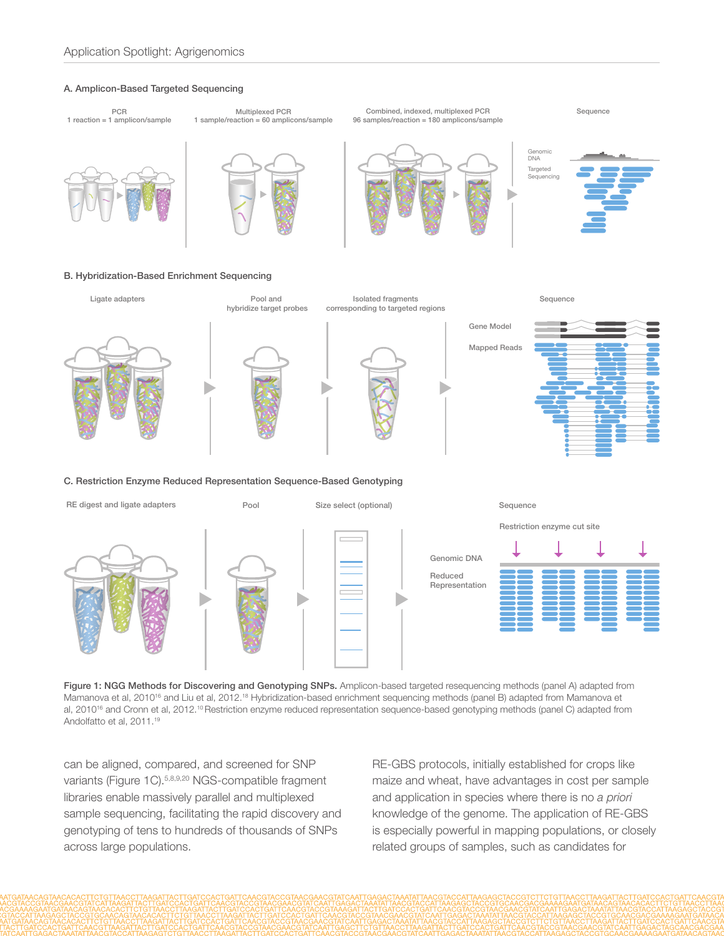#### A. Amplicon-Based Targeted Sequencing







Figure 1: NGG Methods for Discovering and Genotyping SNPs. Amplicon-based targeted resequencing methods (panel A) adapted from Mamanova et al, 2010<sup>16</sup> and Liu et al, 2012.<sup>[18](#page-7-16)</sup> Hybridization-based enrichment sequencing methods (panel B) adapted from Mamanova et al, 2010<sup>[16](#page-7-14)</sup> and Cronn et al, 2012.<sup>[10](#page-7-8)</sup> Restriction enzyme reduced representation sequence-based genotyping methods (panel C) adapted from Andolfatto et al, 2011[.19](#page-7-17)

can be aligned, compared, and screened for SNP variants (Figure 1C)[.5](#page-7-4)[,8](#page-7-6),[9](#page-7-7),[20](#page-7-18) NGS-compatible fragment libraries enable massively parallel and multiplexed sample sequencing, facilitating the rapid discovery and genotyping of tens to hundreds of thousands of SNPs across large populations.

RE-GBS protocols, initially established for crops like maize and wheat, have advantages in cost per sample and application in species where there is no *a priori* knowledge of the genome. The application of RE-GBS is especially powerful in mapping populations, or closely related groups of samples, such as candidates for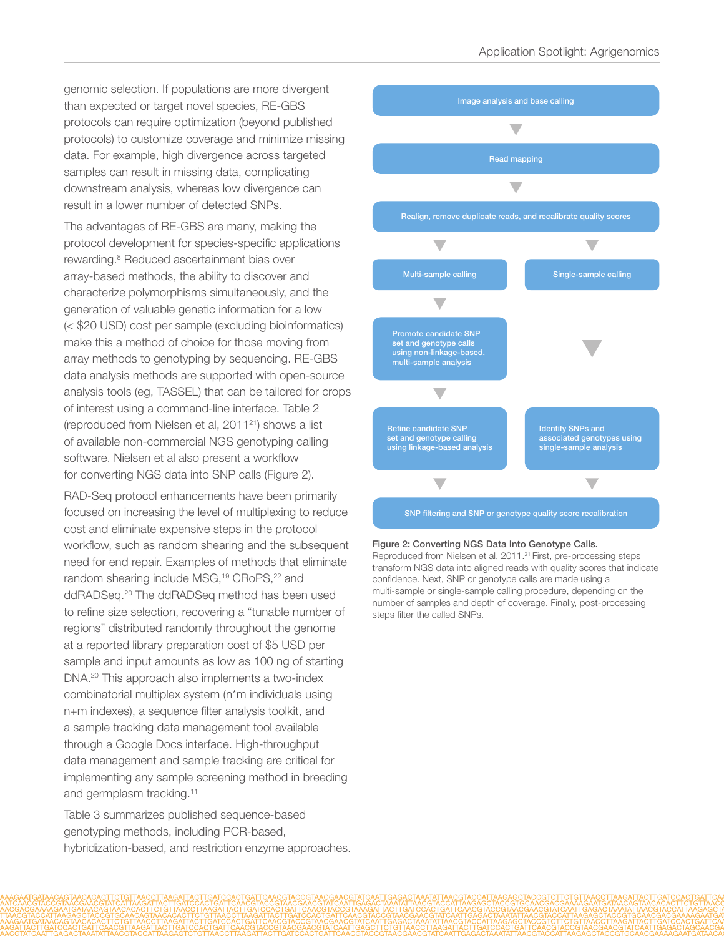genomic selection. If populations are more divergent than expected or target novel species, RE-GBS protocols can require optimization (beyond published protocols) to customize coverage and minimize missing data. For example, high divergence across targeted samples can result in missing data, complicating downstream analysis, whereas low divergence can result in a lower number of detected SNPs.

The advantages of RE-GBS are many, making the protocol development for species-specific applications rewarding[.8](#page-7-6) Reduced ascertainment bias over array-based methods, the ability to discover and characterize polymorphisms simultaneously, and the generation of valuable genetic information for a low (< \$20 USD) cost per sample (excluding bioinformatics) make this a method of choice for those moving from array methods to genotyping by sequencing. RE-GBS data analysis methods are supported with open-source analysis tools (eg, TASSEL) that can be tailored for crops of interest using a command-line interface. Table 2 (reproduced from Nielsen et al,  $2011^{21}$  $2011^{21}$  $2011^{21}$ ) shows a list of available non-commercial NGS genotyping calling software. Nielsen et al also present a workflow for converting NGS data into SNP calls (Figure 2).

RAD-Seq protocol enhancements have been primarily focused on increasing the level of multiplexing to reduce cost and eliminate expensive steps in the protocol workflow, such as random shearing and the subsequent need for end repair. Examples of methods that eliminate random shearing include MSG,<sup>[19](#page-7-17)</sup> CRoPS,<sup>22</sup> and ddRADSeq[.20](#page-7-18) The ddRADSeq method has been used to refine size selection, recovering a "tunable number of regions" distributed randomly throughout the genome at a reported library preparation cost of \$5 USD per sample and input amounts as low as 100 ng of starting DNA.[20](#page-7-18) This approach also implements a two-index combinatorial multiplex system (n\*m individuals using n+m indexes), a sequence filter analysis toolkit, and a sample tracking data management tool available through a Google Docs interface. High-throughput data management and sample tracking are critical for implementing any sample screening method in breeding and germplasm tracking.<sup>11</sup>

Table 3 summarizes published sequence-based genotyping methods, including PCR-based, hybridization-based, and restriction enzyme approaches.



#### Figure 2: Converting NGS Data Into Genotype Calls.

Reproduced from Nielsen et al, 2011.<sup>[21](#page-7-19)</sup> First, pre-processing steps transform NGS data into aligned reads with quality scores that indicate confidence. Next, SNP or genotype calls are made using a multi-sample or single-sample calling procedure, depending on the number of samples and depth of coverage. Finally, post-processing steps filter the called SNPs.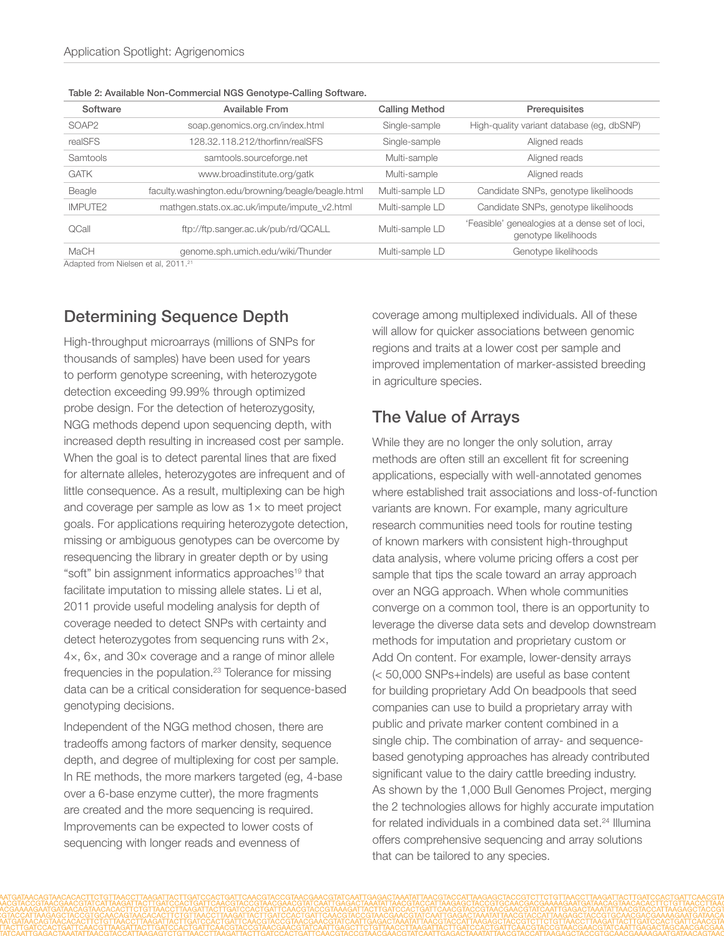| Software          | <b>Available From</b>                              | <b>Calling Method</b> | Prerequisites                                                          |
|-------------------|----------------------------------------------------|-----------------------|------------------------------------------------------------------------|
| SOAP <sub>2</sub> | soap.genomics.org.cn/index.html                    | Single-sample         | High-quality variant database (eg, dbSNP)                              |
| realSFS           | 128.32.118.212/thorfinn/realSFS                    | Single-sample         | Aligned reads                                                          |
| Samtools          | samtools.sourceforge.net                           | Multi-sample          | Aligned reads                                                          |
| <b>GATK</b>       | www.broadinstitute.org/gatk                        | Multi-sample          | Aligned reads                                                          |
| Beagle            | faculty.washington.edu/browning/beagle/beagle.html | Multi-sample LD       | Candidate SNPs, genotype likelihoods                                   |
| <b>IMPUTE2</b>    | mathgen.stats.ox.ac.uk/impute/impute_v2.html       | Multi-sample LD       | Candidate SNPs, genotype likelihoods                                   |
| QCall             | ftp://ftp.sanger.ac.uk/pub/rd/QCALL                | Multi-sample LD       | 'Feasible' genealogies at a dense set of loci,<br>genotype likelihoods |
| MaCH              | genome.sph.umich.edu/wiki/Thunder                  | Multi-sample LD       | Genotype likelihoods                                                   |

Table 2: Available Non-Commercial NGS Genotype-Calling Software.

Adapted from Nielsen et al, 2011.<sup>[21](#page-7-19)</sup>

# Determining Sequence Depth

High-throughput microarrays (millions of SNPs for thousands of samples) have been used for years to perform genotype screening, with heterozygote detection exceeding 99.99% through optimized probe design. For the detection of heterozygosity, NGG methods depend upon sequencing depth, with increased depth resulting in increased cost per sample. When the goal is to detect parental lines that are fixed for alternate alleles, heterozygotes are infrequent and of little consequence. As a result, multiplexing can be high and coverage per sample as low as 1× to meet project goals. For applications requiring heterozygote detection, missing or ambiguous genotypes can be overcome by resequencing the library in greater depth or by using "soft" bin assignment informatics approaches<sup>[19](#page-7-17)</sup> that facilitate imputation to missing allele states. Li et al, 2011 provide useful modeling analysis for depth of coverage needed to detect SNPs with certainty and detect heterozygotes from sequencing runs with 2×, 4×, 6×, and 30× coverage and a range of minor allele frequencies in the population.[23](#page-7-21) Tolerance for missing data can be a critical consideration for sequence-based genotyping decisions.

Independent of the NGG method chosen, there are tradeoffs among factors of marker density, sequence depth, and degree of multiplexing for cost per sample. In RE methods, the more markers targeted (eg, 4-base over a 6-base enzyme cutter), the more fragments are created and the more sequencing is required. Improvements can be expected to lower costs of sequencing with longer reads and evenness of

coverage among multiplexed individuals. All of these will allow for quicker associations between genomic regions and traits at a lower cost per sample and improved implementation of marker-assisted breeding in agriculture species.

# The Value of Arrays

While they are no longer the only solution, array methods are often still an excellent fit for screening applications, especially with well-annotated genomes where established trait associations and loss-of-function variants are known. For example, many agriculture research communities need tools for routine testing of known markers with consistent high-throughput data analysis, where volume pricing offers a cost per sample that tips the scale toward an array approach over an NGG approach. When whole communities converge on a common tool, there is an opportunity to leverage the diverse data sets and develop downstream methods for imputation and proprietary custom or Add On content. For example, lower-density arrays (< 50,000 SNPs+indels) are useful as base content for building proprietary Add On beadpools that seed companies can use to build a proprietary array with public and private marker content combined in a single chip. The combination of array- and sequencebased genotyping approaches has already contributed significant value to the dairy cattle breeding industry. As shown by the 1,000 Bull Genomes Project, merging the 2 technologies allows for highly accurate imputation for related individuals in a combined data set.<sup>24</sup> Illumina offers comprehensive sequencing and array solutions that can be tailored to any species.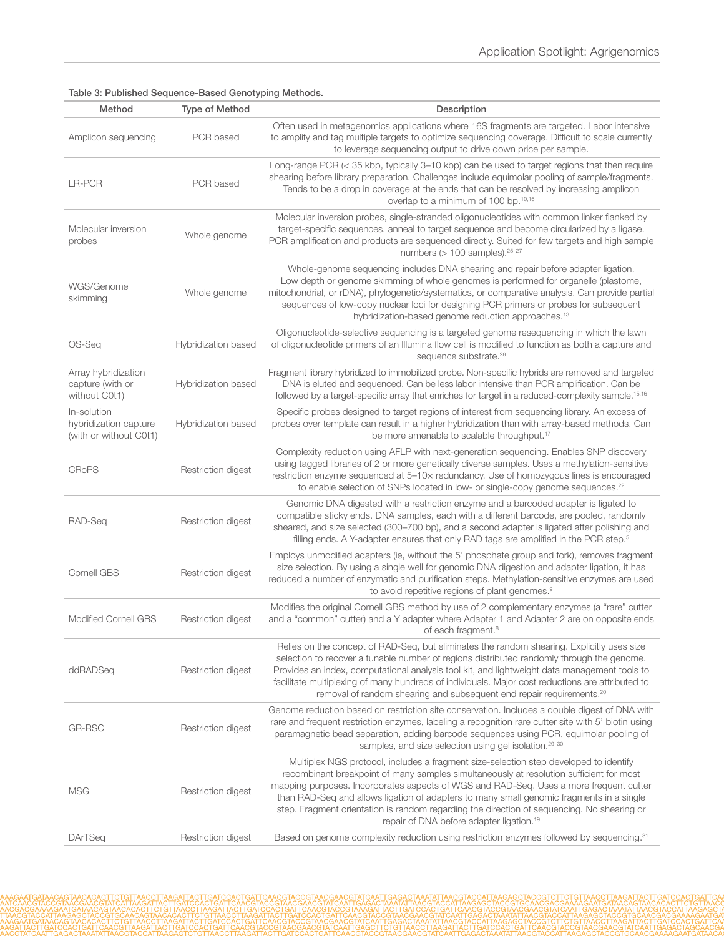| Method                                                         | Type of Method      | Description                                                                                                                                                                                                                                                                                                                                                                                                                                                                                                                  |
|----------------------------------------------------------------|---------------------|------------------------------------------------------------------------------------------------------------------------------------------------------------------------------------------------------------------------------------------------------------------------------------------------------------------------------------------------------------------------------------------------------------------------------------------------------------------------------------------------------------------------------|
| Amplicon sequencing                                            | PCR based           | Often used in metagenomics applications where 16S fragments are targeted. Labor intensive<br>to amplify and tag multiple targets to optimize sequencing coverage. Difficult to scale currently<br>to leverage sequencing output to drive down price per sample.                                                                                                                                                                                                                                                              |
| LR-PCR                                                         | PCR based           | Long-range PCR (< 35 kbp, typically 3-10 kbp) can be used to target regions that then require<br>shearing before library preparation. Challenges include equimolar pooling of sample/fragments.<br>Tends to be a drop in coverage at the ends that can be resolved by increasing amplicon<br>overlap to a minimum of 100 bp.10,16                                                                                                                                                                                            |
| Molecular inversion<br>probes                                  | Whole genome        | Molecular inversion probes, single-stranded oligonucleotides with common linker flanked by<br>target-specific sequences, anneal to target sequence and become circularized by a ligase.<br>PCR amplification and products are sequenced directly. Suited for few targets and high sample<br>numbers $(> 100$ samples). $25-27$                                                                                                                                                                                               |
| WGS/Genome<br>skimming                                         | Whole genome        | Whole-genome sequencing includes DNA shearing and repair before adapter ligation.<br>Low depth or genome skimming of whole genomes is performed for organelle (plastome,<br>mitochondrial, or rDNA), phylogenetic/systematics, or comparative analysis. Can provide partial<br>sequences of low-copy nuclear loci for designing PCR primers or probes for subsequent<br>hybridization-based genome reduction approaches. <sup>13</sup>                                                                                       |
| OS-Seq                                                         | Hybridization based | Oligonucleotide-selective sequencing is a targeted genome resequencing in which the lawn<br>of oligonucleotide primers of an Illumina flow cell is modified to function as both a capture and<br>sequence substrate. <sup>28</sup>                                                                                                                                                                                                                                                                                           |
| Array hybridization<br>capture (with or<br>without C0t1)       | Hybridization based | Fragment library hybridized to immobilized probe. Non-specific hybrids are removed and targeted<br>DNA is eluted and sequenced. Can be less labor intensive than PCR amplification. Can be<br>followed by a target-specific array that enriches for target in a reduced-complexity sample. <sup>15,16</sup>                                                                                                                                                                                                                  |
| In-solution<br>hybridization capture<br>(with or without C0t1) | Hybridization based | Specific probes designed to target regions of interest from sequencing library. An excess of<br>probes over template can result in a higher hybridization than with array-based methods. Can<br>be more amenable to scalable throughput. <sup>17</sup>                                                                                                                                                                                                                                                                       |
| <b>CRoPS</b>                                                   | Restriction digest  | Complexity reduction using AFLP with next-generation sequencing. Enables SNP discovery<br>using tagged libraries of 2 or more genetically diverse samples. Uses a methylation-sensitive<br>restriction enzyme sequenced at 5-10x redundancy. Use of homozygous lines is encouraged<br>to enable selection of SNPs located in low- or single-copy genome sequences. <sup>22</sup>                                                                                                                                             |
| RAD-Seq                                                        | Restriction digest  | Genomic DNA digested with a restriction enzyme and a barcoded adapter is ligated to<br>compatible sticky ends. DNA samples, each with a different barcode, are pooled, randomly<br>sheared, and size selected (300-700 bp), and a second adapter is ligated after polishing and<br>filling ends. A Y-adapter ensures that only RAD tags are amplified in the PCR step. <sup>5</sup>                                                                                                                                          |
| Cornell GBS                                                    | Restriction digest  | Employs unmodified adapters (ie, without the 5' phosphate group and fork), removes fragment<br>size selection. By using a single well for genomic DNA digestion and adapter ligation, it has<br>reduced a number of enzymatic and purification steps. Methylation-sensitive enzymes are used<br>to avoid repetitive regions of plant genomes. <sup>9</sup>                                                                                                                                                                   |
| <b>Modified Cornell GBS</b>                                    | Restriction digest  | Modifies the original Cornell GBS method by use of 2 complementary enzymes (a "rare" cutter<br>and a "common" cutter) and a Y adapter where Adapter 1 and Adapter 2 are on opposite ends<br>of each fragment. <sup>8</sup>                                                                                                                                                                                                                                                                                                   |
| ddRADSeq                                                       | Restriction digest  | Relies on the concept of RAD-Seq, but eliminates the random shearing. Explicitly uses size<br>selection to recover a tunable number of regions distributed randomly through the genome.<br>Provides an index, computational analysis tool kit, and lightweight data management tools to<br>facilitate multiplexing of many hundreds of individuals. Major cost reductions are attributed to<br>removal of random shearing and subsequent end repair requirements. <sup>20</sup>                                              |
| GR-RSC                                                         | Restriction digest  | Genome reduction based on restriction site conservation. Includes a double digest of DNA with<br>rare and frequent restriction enzymes, labeling a recognition rare cutter site with 5' biotin using<br>paramagnetic bead separation, adding barcode sequences using PCR, equimolar pooling of<br>samples, and size selection using gel isolation. <sup>29-30</sup>                                                                                                                                                          |
| MSG                                                            | Restriction digest  | Multiplex NGS protocol, includes a fragment size-selection step developed to identify<br>recombinant breakpoint of many samples simultaneously at resolution sufficient for most<br>mapping purposes. Incorporates aspects of WGS and RAD-Seq. Uses a more frequent cutter<br>than RAD-Seq and allows ligation of adapters to many small genomic fragments in a single<br>step. Fragment orientation is random regarding the direction of sequencing. No shearing or<br>repair of DNA before adapter ligation. <sup>19</sup> |
| <b>DArTSeq</b>                                                 | Restriction digest  | Based on genome complexity reduction using restriction enzymes followed by sequencing. <sup>31</sup>                                                                                                                                                                                                                                                                                                                                                                                                                         |

#### Table 3: Published Sequence-Based Genotyping Methods.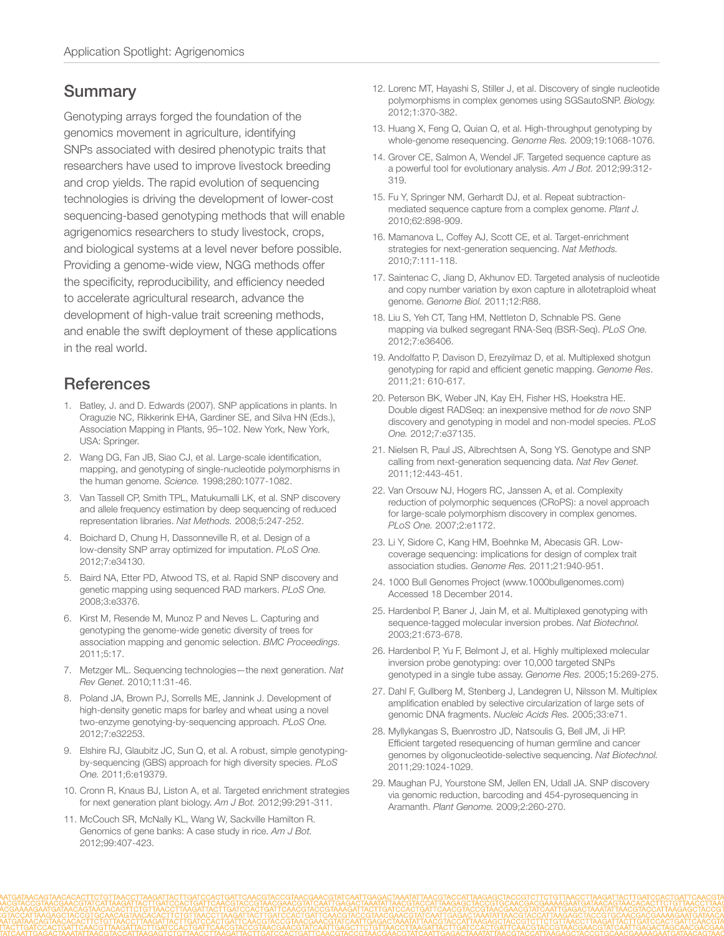#### **Summary**

Genotyping arrays forged the foundation of the genomics movement in agriculture, identifying SNPs associated with desired phenotypic traits that researchers have used to improve livestock breeding and crop yields. The rapid evolution of sequencing technologies is driving the development of lower-cost sequencing-based genotyping methods that will enable agrigenomics researchers to study livestock, crops, and biological systems at a level never before possible. Providing a genome-wide view, NGG methods offer the specificity, reproducibility, and efficiency needed to accelerate agricultural research, advance the development of high-value trait screening methods, and enable the swift deployment of these applications in the real world.

## **References**

- <span id="page-7-0"></span>1. [Batley, J. and D. Edwards \(2007\). SNP applications in plants. In](http://www.springer.com/life+sciences/plant+sciences/book/978-0-387-35844-4)  [Oraguzie NC, Rikkerink EHA, Gardiner SE, and Silva HN \(Eds.\),](http://www.springer.com/life+sciences/plant+sciences/book/978-0-387-35844-4)  [Association Mapping in Plants, 95–102. New York, New York,](http://www.springer.com/life+sciences/plant+sciences/book/978-0-387-35844-4)  [USA: Springer.](http://www.springer.com/life+sciences/plant+sciences/book/978-0-387-35844-4)
- <span id="page-7-1"></span>2. [Wang DG, Fan JB, Siao CJ, et al. Large-scale identification,](http://www.ncbi.nlm.nih.gov/pubmed/9582121)  [mapping, and genotyping of single-nucleotide polymorphisms in](http://www.ncbi.nlm.nih.gov/pubmed/9582121)  the human genome. *Science.* [1998;280:1077-1082.](http://www.ncbi.nlm.nih.gov/pubmed/9582121)
- <span id="page-7-2"></span>3. [Van Tassell CP, Smith TPL, Matukumalli LK, et al. SNP discovery](http://www.ncbi.nlm.nih.gov/pubmed/18297082)  [and allele frequency estimation by deep sequencing of reduced](http://www.ncbi.nlm.nih.gov/pubmed/18297082)  [representation libraries.](http://www.ncbi.nlm.nih.gov/pubmed/18297082) *Nat Methods.* 2008;5:247-252.
- <span id="page-7-3"></span>4. [Boichard D, Chung H, Dassonneville R, et al. Design of a](http://www.ncbi.nlm.nih.gov/pubmed/22470530)  [low-density SNP array optimized for imputation.](http://www.ncbi.nlm.nih.gov/pubmed/22470530) *PLoS One.* [2012;7:e34130.](http://www.ncbi.nlm.nih.gov/pubmed/22470530)
- <span id="page-7-4"></span>5. [Baird NA, Etter PD, Atwood TS, et al. Rapid SNP discovery and](http://www.ncbi.nlm.nih.gov/pubmed/18852878)  [genetic mapping using sequenced RAD markers.](http://www.ncbi.nlm.nih.gov/pubmed/18852878) *PLoS One.* [2008;3:e3376.](http://www.ncbi.nlm.nih.gov/pubmed/18852878)
- 6. [Kirst M, Resende M, Munoz P and Neves L. Capturing and](http://www.biomedcentral.com/1753-6561/5/S7/I7)  [genotyping the genome-wide genetic diversity of trees for](http://www.biomedcentral.com/1753-6561/5/S7/I7)  [association mapping and genomic selection.](http://www.biomedcentral.com/1753-6561/5/S7/I7) *BMC Proceedings.* [2011;5:17.](http://www.biomedcentral.com/1753-6561/5/S7/I7)
- <span id="page-7-5"></span>7. [Metzger ML. Sequencing technologies—the next generation.](http://www.ncbi.nlm.nih.gov/pubmed/19997069) *Nat Rev Genet.* [2010;11:31-46.](http://www.ncbi.nlm.nih.gov/pubmed/19997069)
- <span id="page-7-6"></span>8. [Poland JA, Brown PJ, Sorrells ME, Jannink J. Development of](http://www.ncbi.nlm.nih.gov/pubmed/22389690)  [high-density genetic maps for barley and wheat using a novel](http://www.ncbi.nlm.nih.gov/pubmed/22389690)  [two-enzyme genotying-by-sequencing approach.](http://www.ncbi.nlm.nih.gov/pubmed/22389690) *PLoS One.* [2012;7:e32253.](http://www.ncbi.nlm.nih.gov/pubmed/22389690)
- <span id="page-7-7"></span>9. [Elshire RJ, Glaubitz JC, Sun Q, et al. A robust, simple genotyping](http://www.ncbi.nlm.nih.gov/pubmed/21573248)[by-sequencing \(GBS\) approach for high diversity species.](http://www.ncbi.nlm.nih.gov/pubmed/21573248) *PLoS One.* [2011;6:e19379.](http://www.ncbi.nlm.nih.gov/pubmed/21573248)
- <span id="page-7-8"></span>10. [Cronn R, Knaus BJ, Liston A, et al. Targeted enrichment strategies](http://www.ncbi.nlm.nih.gov/pubmed/22312117)  [for next generation plant biology.](http://www.ncbi.nlm.nih.gov/pubmed/22312117) *Am J Bot.* 2012;99:291-311.
- <span id="page-7-9"></span>11. [McCouch SR, McNally KL, Wang W, Sackville Hamilton R.](http://www.ncbi.nlm.nih.gov/pubmed/22314574)  [Genomics of gene banks: A case study in rice.](http://www.ncbi.nlm.nih.gov/pubmed/22314574) *Am J Bot.* [2012;99:407-423.](http://www.ncbi.nlm.nih.gov/pubmed/22314574)
- <span id="page-7-10"></span>12. [Lorenc MT, Hayashi S, Stiller J, et al. Discovery of single nucleotide](http://www.ncbi.nlm.nih.gov/pubmed/24832230)  [polymorphisms in complex genomes using SGSautoSNP.](http://www.ncbi.nlm.nih.gov/pubmed/24832230) *Biology.* [2012;1:370-382.](http://www.ncbi.nlm.nih.gov/pubmed/24832230)
- <span id="page-7-11"></span>13. [Huang X, Feng Q, Quian Q, et al. High-throughput genotyping by](http://www.ncbi.nlm.nih.gov/pubmed/19420380)  [whole-genome resequencing.](http://www.ncbi.nlm.nih.gov/pubmed/19420380) *Genome Res.* 2009;19:1068-1076.
- <span id="page-7-12"></span>14. [Grover CE, Salmon A, Wendel JF. Targeted sequence capture as](http://www.ncbi.nlm.nih.gov/pubmed/22268225)  [a powerful tool for evolutionary analysis.](http://www.ncbi.nlm.nih.gov/pubmed/22268225) *Am J Bot.* 2012;99:312- [319.](http://www.ncbi.nlm.nih.gov/pubmed/22268225)
- <span id="page-7-13"></span>15. [Fu Y, Springer NM, Gerhardt DJ, et al. Repeat subtraction](http://www.ncbi.nlm.nih.gov/pubmed/20230488)[mediated sequence capture from a complex genome.](http://www.ncbi.nlm.nih.gov/pubmed/20230488) *Plant J.* [2010;62:898-909.](http://www.ncbi.nlm.nih.gov/pubmed/20230488)
- <span id="page-7-14"></span>16. [Mamanova L, Coffey AJ, Scott CE, et al. Target-enrichment](http://www.ncbi.nlm.nih.gov/pubmed/20111037)  [strategies for next-generation sequencing.](http://www.ncbi.nlm.nih.gov/pubmed/20111037) *Nat Methods.* [2010;7:111-118.](http://www.ncbi.nlm.nih.gov/pubmed/20111037)
- <span id="page-7-15"></span>17. [Saintenac C, Jiang D, Akhunov ED. Targeted analysis of nucleotide](http://www.ncbi.nlm.nih.gov/pubmed/21917144)  [and copy number variation by exon capture in allotetraploid wheat](http://www.ncbi.nlm.nih.gov/pubmed/21917144)  genome. *Genome Biol.* [2011;12:R88.](http://www.ncbi.nlm.nih.gov/pubmed/21917144)
- <span id="page-7-16"></span>18. [Liu S, Yeh CT, Tang HM, Nettleton D, Schnable PS. Gene](http://www.ncbi.nlm.nih.gov/pubmed/22586469)  [mapping via bulked segregant RNA-Seq \(BSR-Seq\).](http://www.ncbi.nlm.nih.gov/pubmed/22586469) *PLoS One.* [2012;7:e36406.](http://www.ncbi.nlm.nih.gov/pubmed/22586469)
- <span id="page-7-17"></span>19. [Andolfatto P, Davison D, Erezyilmaz D, et al. Multiplexed shotgun](http://www.ncbi.nlm.nih.gov/pubmed/21233398)  [genotyping for rapid and efficient genetic mapping.](http://www.ncbi.nlm.nih.gov/pubmed/21233398) *Genome Res*. [2011;21: 610-617.](http://www.ncbi.nlm.nih.gov/pubmed/21233398)
- <span id="page-7-18"></span>20. [Peterson BK, Weber JN, Kay EH, Fisher HS, Hoekstra HE.](http://www.ncbi.nlm.nih.gov/pubmed/22675423)  [Double digest RADSeq: an inexpensive method for](http://www.ncbi.nlm.nih.gov/pubmed/22675423) *de novo* SNP [discovery and genotyping in model and non-model species.](http://www.ncbi.nlm.nih.gov/pubmed/22675423) *PLoS One.* [2012;7:e37135.](http://www.ncbi.nlm.nih.gov/pubmed/22675423)
- <span id="page-7-19"></span>21. [Nielsen R, Paul JS, Albrechtsen A, Song YS. Genotype and SNP](http://www.ncbi.nlm.nih.gov/pubmed/21587300)  [calling from next-generation sequencing data.](http://www.ncbi.nlm.nih.gov/pubmed/21587300) *Nat Rev Genet.* [2011;12:443-451.](http://www.ncbi.nlm.nih.gov/pubmed/21587300)
- <span id="page-7-20"></span>22. [Van Orsouw NJ, Hogers RC, Janssen A, et al. Complexity](http://www.ncbi.nlm.nih.gov/pubmed/18000544)  [reduction of polymorphic sequences \(CRoPS\): a novel approach](http://www.ncbi.nlm.nih.gov/pubmed/18000544)  [for large-scale polymorphism discovery in complex genomes.](http://www.ncbi.nlm.nih.gov/pubmed/18000544)  *PLoS One.* [2007;2:e1172.](http://www.ncbi.nlm.nih.gov/pubmed/18000544)
- <span id="page-7-21"></span>23. [Li Y, Sidore C, Kang HM, Boehnke M, Abecasis GR. Low](http://www.ncbi.nlm.nih.gov/pubmed/21460063)[coverage sequencing: implications for design of complex trait](http://www.ncbi.nlm.nih.gov/pubmed/21460063)  [association studies.](http://www.ncbi.nlm.nih.gov/pubmed/21460063) *Genome Res.* 2011;21:940-951.
- <span id="page-7-22"></span>24. 1000 Bull Genomes Project (www.1000bullgenomes.com) Accessed 18 December 2014.
- <span id="page-7-23"></span>25. [Hardenbol P, Baner J, Jain M, et al. Multiplexed genotyping with](http://www.ncbi.nlm.nih.gov/pubmed/12730666)  [sequence-tagged molecular inversion probes.](http://www.ncbi.nlm.nih.gov/pubmed/12730666) *Nat Biotechnol.* [2003;21:673-678.](http://www.ncbi.nlm.nih.gov/pubmed/12730666)
- 26. [Hardenbol P, Yu F, Belmont J, et al. Highly multiplexed molecular](http://www.ncbi.nlm.nih.gov/pubmed/15687290)  [inversion probe genotyping: over 10,000 targeted SNPs](http://www.ncbi.nlm.nih.gov/pubmed/15687290)  [genotyped in a single tube assay.](http://www.ncbi.nlm.nih.gov/pubmed/15687290) *Genome Res.* 2005;15:269-275.
- <span id="page-7-24"></span>27. [Dahl F, Gullberg M, Stenberg J, Landegren U, Nilsson M. Multiplex](http://www.ncbi.nlm.nih.gov/pubmed/15860768)  [amplification enabled by selective circularization of large sets of](http://www.ncbi.nlm.nih.gov/pubmed/15860768)  [genomic DNA fragments.](http://www.ncbi.nlm.nih.gov/pubmed/15860768) *Nucleic Acids Res.* 2005;33:e71.
- <span id="page-7-25"></span>28. [Myllykangas S, Buenrostro JD, Natsoulis G, Bell JM, Ji HP.](http://www.ncbi.nlm.nih.gov/pubmed/22020387)  [Efficient targeted resequencing of human germline and cancer](http://www.ncbi.nlm.nih.gov/pubmed/22020387)  [genomes by oligonucleotide-selective sequencing.](http://www.ncbi.nlm.nih.gov/pubmed/22020387) *Nat Biotechnol.* [2011;29:1024-1029.](http://www.ncbi.nlm.nih.gov/pubmed/22020387)
- <span id="page-7-26"></span>29. [Maughan PJ, Yourstone SM, Jellen EN, Udall JA. SNP discovery](https://www.crops.org/publications/tpg/articles/2/3/260)  [via genomic reduction, barcoding and 454-pyrosequencing in](https://www.crops.org/publications/tpg/articles/2/3/260)  Aramanth. *Plant Genome.* [2009;2:260-270.](https://www.crops.org/publications/tpg/articles/2/3/260)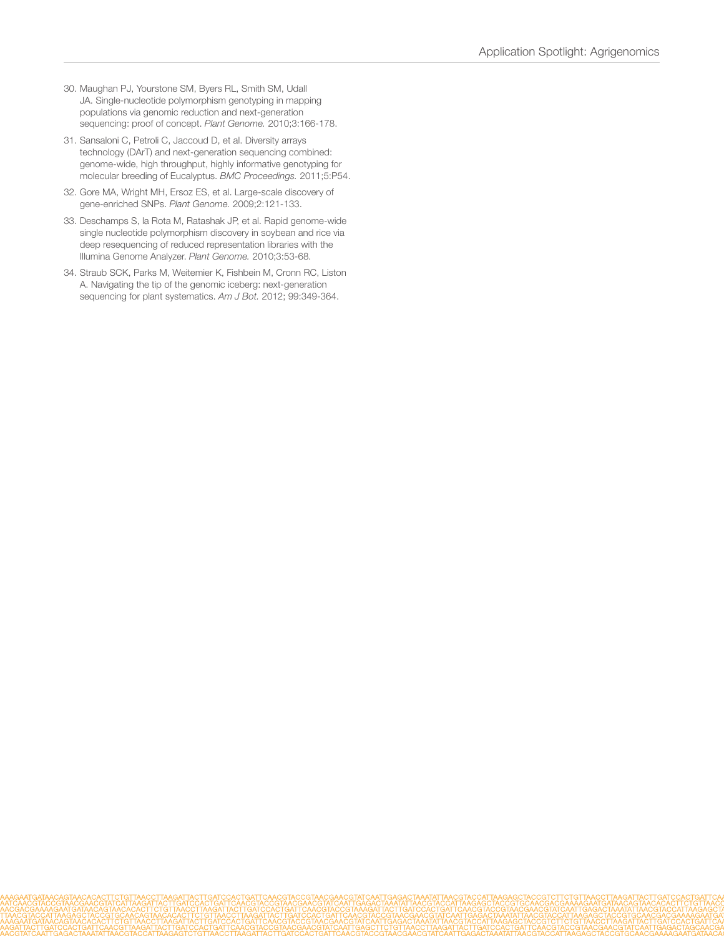- <span id="page-8-0"></span>30. [Maughan PJ, Yourstone SM, Byers RL, Smith SM, Udall](https://www.crops.org/publications/tpg/pdfs/3/3/166)  [JA. Single-nucleotide polymorphism genotyping in mapping](https://www.crops.org/publications/tpg/pdfs/3/3/166)  [populations via genomic reduction and next-generation](https://www.crops.org/publications/tpg/pdfs/3/3/166)  [sequencing: proof of concept.](https://www.crops.org/publications/tpg/pdfs/3/3/166) *Plant Genome.* 2010;3:166-178.
- <span id="page-8-1"></span>31. [Sansaloni C, Petroli C, Jaccoud D, et al. Diversity arrays](http://www.biomedcentral.com/1753-6561/5/S7/P54)  [technology \(DArT\) and next-generation sequencing combined:](http://www.biomedcentral.com/1753-6561/5/S7/P54)  [genome-wide, high throughput, highly informative genotyping for](http://www.biomedcentral.com/1753-6561/5/S7/P54)  [molecular breeding of Eucalyptus.](http://www.biomedcentral.com/1753-6561/5/S7/P54) *BMC Proceedings.* 2011;5:P54.
- 32. [Gore MA, Wright MH, Ersoz ES, et al. Large-scale discovery of](https://www.crops.org/publications/tpg/abstracts/2/2/121)  [gene-enriched SNPs.](https://www.crops.org/publications/tpg/abstracts/2/2/121) *Plant Genome.* 2009;2:121-133.
- 33. [Deschamps S, la Rota M, Ratashak JP, et al. Rapid genome-wide](https://www.crops.org/publications/tpg/abstracts/3/1/53)  [single nucleotide polymorphism discovery in soybean and rice via](https://www.crops.org/publications/tpg/abstracts/3/1/53)  [deep resequencing of reduced representation libraries with the](https://www.crops.org/publications/tpg/abstracts/3/1/53)  [Illumina Genome Analyzer.](https://www.crops.org/publications/tpg/abstracts/3/1/53) *Plant Genome.* 2010;3:53-68.
- 34. [Straub SCK, Parks M, Weitemier K, Fishbein M, Cronn RC, Liston](http://www.ncbi.nlm.nih.gov/pubmed/22174336)  [A. Navigating the tip of the genomic iceberg: next-generation](http://www.ncbi.nlm.nih.gov/pubmed/22174336)  [sequencing for plant systematics.](http://www.ncbi.nlm.nih.gov/pubmed/22174336) *Am J Bot.* 2012; 99:349-364.